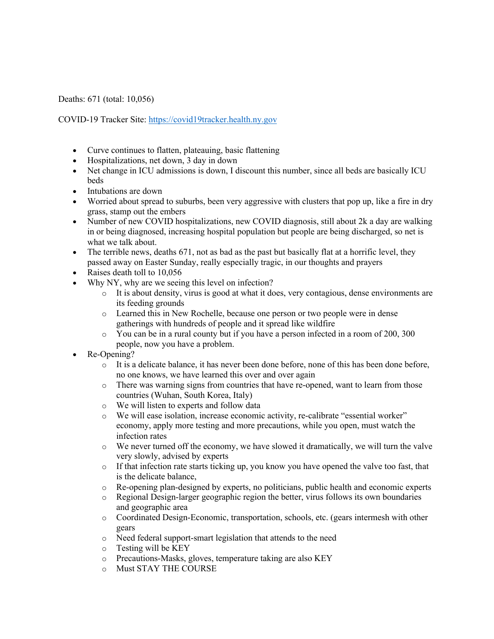Deaths: 671 (total: 10,056)

COVID-19 Tracker Site: https://covid19tracker.health.ny.gov

- Curve continues to flatten, plateauing, basic flattening
- Hospitalizations, net down, 3 day in down
- Net change in ICU admissions is down, I discount this number, since all beds are basically ICU beds
- Intubations are down
- Worried about spread to suburbs, been very aggressive with clusters that pop up, like a fire in dry grass, stamp out the embers
- Number of new COVID hospitalizations, new COVID diagnosis, still about 2k a day are walking in or being diagnosed, increasing hospital population but people are being discharged, so net is what we talk about.
- The terrible news, deaths 671, not as bad as the past but basically flat at a horrific level, they passed away on Easter Sunday, really especially tragic, in our thoughts and prayers
- Raises death toll to 10,056
- Why NY, why are we seeing this level on infection?
	- o It is about density, virus is good at what it does, very contagious, dense environments are its feeding grounds
	- o Learned this in New Rochelle, because one person or two people were in dense gatherings with hundreds of people and it spread like wildfire
	- o You can be in a rural county but if you have a person infected in a room of 200, 300 people, now you have a problem.
- Re-Opening?
	- $\circ$  It is a delicate balance, it has never been done before, none of this has been done before, no one knows, we have learned this over and over again
	- o There was warning signs from countries that have re-opened, want to learn from those countries (Wuhan, South Korea, Italy)
	- o We will listen to experts and follow data
	- o We will ease isolation, increase economic activity, re-calibrate "essential worker" economy, apply more testing and more precautions, while you open, must watch the infection rates
	- $\circ$  We never turned off the economy, we have slowed it dramatically, we will turn the valve very slowly, advised by experts
	- $\circ$  If that infection rate starts ticking up, you know you have opened the valve too fast, that is the delicate balance,
	- o Re-opening plan-designed by experts, no politicians, public health and economic experts
	- o Regional Design-larger geographic region the better, virus follows its own boundaries and geographic area
	- o Coordinated Design-Economic, transportation, schools, etc. (gears intermesh with other gears
	- o Need federal support-smart legislation that attends to the need
	- o Testing will be KEY
	- o Precautions-Masks, gloves, temperature taking are also KEY
	- o Must STAY THE COURSE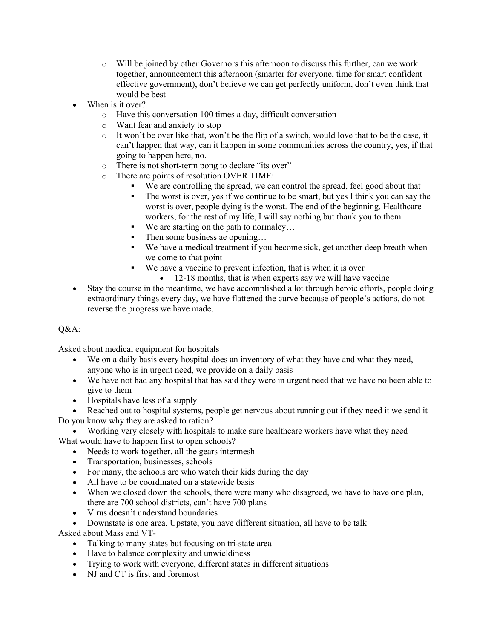- o Will be joined by other Governors this afternoon to discuss this further, can we work together, announcement this afternoon (smarter for everyone, time for smart confident effective government), don't believe we can get perfectly uniform, don't even think that would be best
- When is it over?
	- o Have this conversation 100 times a day, difficult conversation
	- o Want fear and anxiety to stop
	- $\circ$  It won't be over like that, won't be the flip of a switch, would love that to be the case, it can't happen that way, can it happen in some communities across the country, yes, if that going to happen here, no.
	- o There is not short-term pong to declare "its over"
	- o There are points of resolution OVER TIME:
		- We are controlling the spread, we can control the spread, feel good about that
		- The worst is over, yes if we continue to be smart, but yes I think you can say the worst is over, people dying is the worst. The end of the beginning. Healthcare workers, for the rest of my life, I will say nothing but thank you to them
		- We are starting on the path to normalcy...
		- Then some business ae opening...
		- We have a medical treatment if you become sick, get another deep breath when we come to that point
		- We have a vaccine to prevent infection, that is when it is over
			- 12-18 months, that is when experts say we will have vaccine
- Stay the course in the meantime, we have accomplished a lot through heroic efforts, people doing extraordinary things every day, we have flattened the curve because of people's actions, do not reverse the progress we have made.

## Q&A:

Asked about medical equipment for hospitals

- We on a daily basis every hospital does an inventory of what they have and what they need, anyone who is in urgent need, we provide on a daily basis
- We have not had any hospital that has said they were in urgent need that we have no been able to give to them
- Hospitals have less of a supply

• Reached out to hospital systems, people get nervous about running out if they need it we send it

- Do you know why they are asked to ration?
- Working very closely with hospitals to make sure healthcare workers have what they need What would have to happen first to open schools?
	- Needs to work together, all the gears intermesh
	- Transportation, businesses, schools
	- For many, the schools are who watch their kids during the day
	- All have to be coordinated on a statewide basis
	- When we closed down the schools, there were many who disagreed, we have to have one plan, there are 700 school districts, can't have 700 plans
	- Virus doesn't understand boundaries

• Downstate is one area, Upstate, you have different situation, all have to be talk

Asked about Mass and VT-

- Talking to many states but focusing on tri-state area
- Have to balance complexity and unwieldiness
- Trying to work with everyone, different states in different situations
- NJ and CT is first and foremost